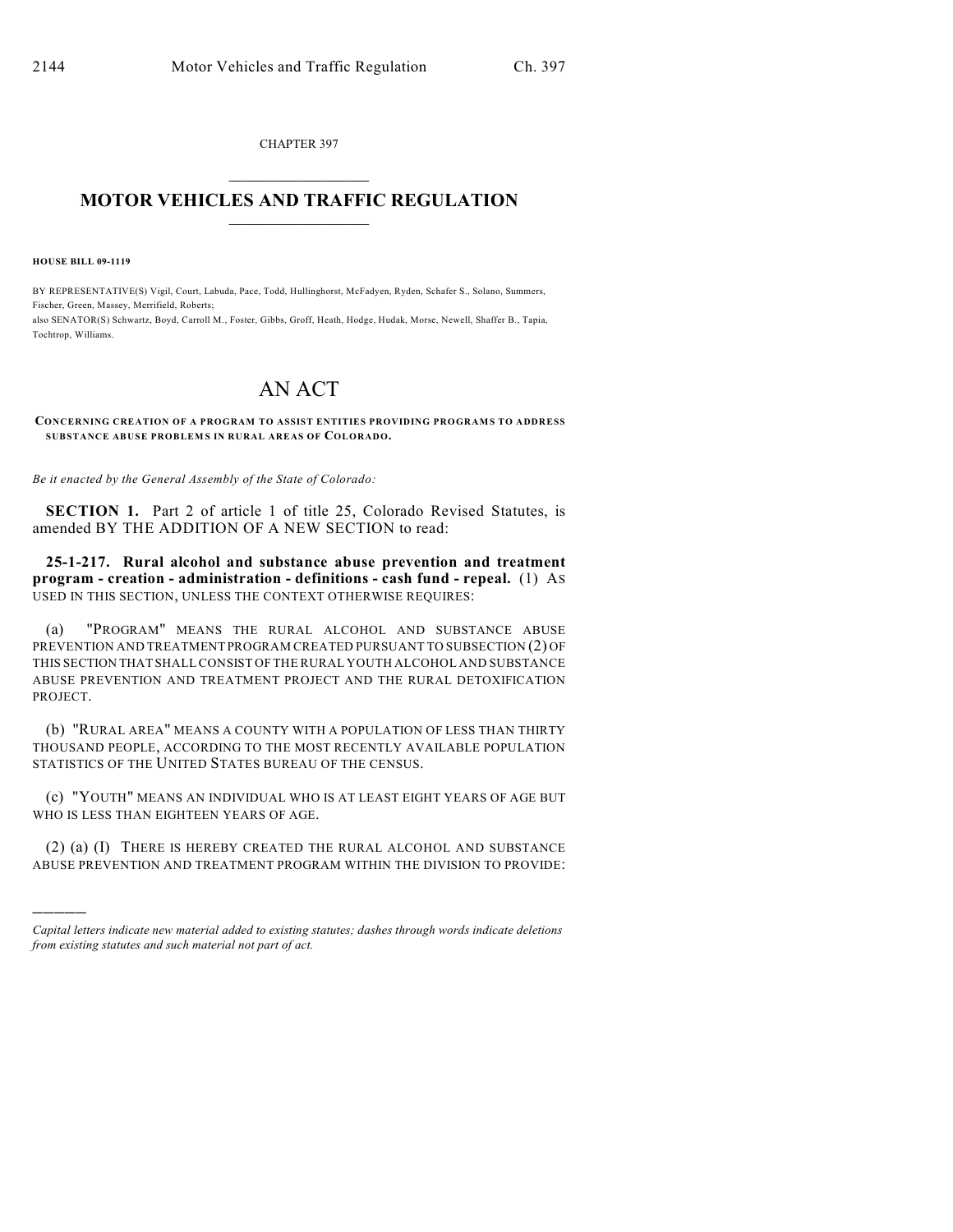CHAPTER 397  $\overline{\phantom{a}}$  . The set of the set of the set of the set of the set of the set of the set of the set of the set of the set of the set of the set of the set of the set of the set of the set of the set of the set of the set o

## **MOTOR VEHICLES AND TRAFFIC REGULATION**  $\frac{1}{2}$  ,  $\frac{1}{2}$  ,  $\frac{1}{2}$  ,  $\frac{1}{2}$  ,  $\frac{1}{2}$  ,  $\frac{1}{2}$  ,  $\frac{1}{2}$  ,  $\frac{1}{2}$

**HOUSE BILL 09-1119**

)))))

BY REPRESENTATIVE(S) Vigil, Court, Labuda, Pace, Todd, Hullinghorst, McFadyen, Ryden, Schafer S., Solano, Summers, Fischer, Green, Massey, Merrifield, Roberts; also SENATOR(S) Schwartz, Boyd, Carroll M., Foster, Gibbs, Groff, Heath, Hodge, Hudak, Morse, Newell, Shaffer B., Tapia, Tochtrop, Williams.

## AN ACT

**CONCERNING CREATION OF A PROGRAM TO ASSIST ENTITIES PROVIDING PROGRAM S TO ADDRESS SUBSTANCE ABUSE PROBLEM S IN RURAL AREAS OF COLORADO.**

*Be it enacted by the General Assembly of the State of Colorado:*

**SECTION 1.** Part 2 of article 1 of title 25, Colorado Revised Statutes, is amended BY THE ADDITION OF A NEW SECTION to read:

**25-1-217. Rural alcohol and substance abuse prevention and treatment program - creation - administration - definitions - cash fund - repeal.** (1) AS USED IN THIS SECTION, UNLESS THE CONTEXT OTHERWISE REQUIRES:

(a) "PROGRAM" MEANS THE RURAL ALCOHOL AND SUBSTANCE ABUSE PREVENTION AND TREATMENT PROGRAM CREATED PURSUANT TO SUBSECTION (2) OF THIS SECTION THAT SHALL CONSIST OF THE RURAL YOUTH ALCOHOL AND SUBSTANCE ABUSE PREVENTION AND TREATMENT PROJECT AND THE RURAL DETOXIFICATION PROJECT.

(b) "RURAL AREA" MEANS A COUNTY WITH A POPULATION OF LESS THAN THIRTY THOUSAND PEOPLE, ACCORDING TO THE MOST RECENTLY AVAILABLE POPULATION STATISTICS OF THE UNITED STATES BUREAU OF THE CENSUS.

(c) "YOUTH" MEANS AN INDIVIDUAL WHO IS AT LEAST EIGHT YEARS OF AGE BUT WHO IS LESS THAN EIGHTEEN YEARS OF AGE.

(2) (a) (I) THERE IS HEREBY CREATED THE RURAL ALCOHOL AND SUBSTANCE ABUSE PREVENTION AND TREATMENT PROGRAM WITHIN THE DIVISION TO PROVIDE:

*Capital letters indicate new material added to existing statutes; dashes through words indicate deletions from existing statutes and such material not part of act.*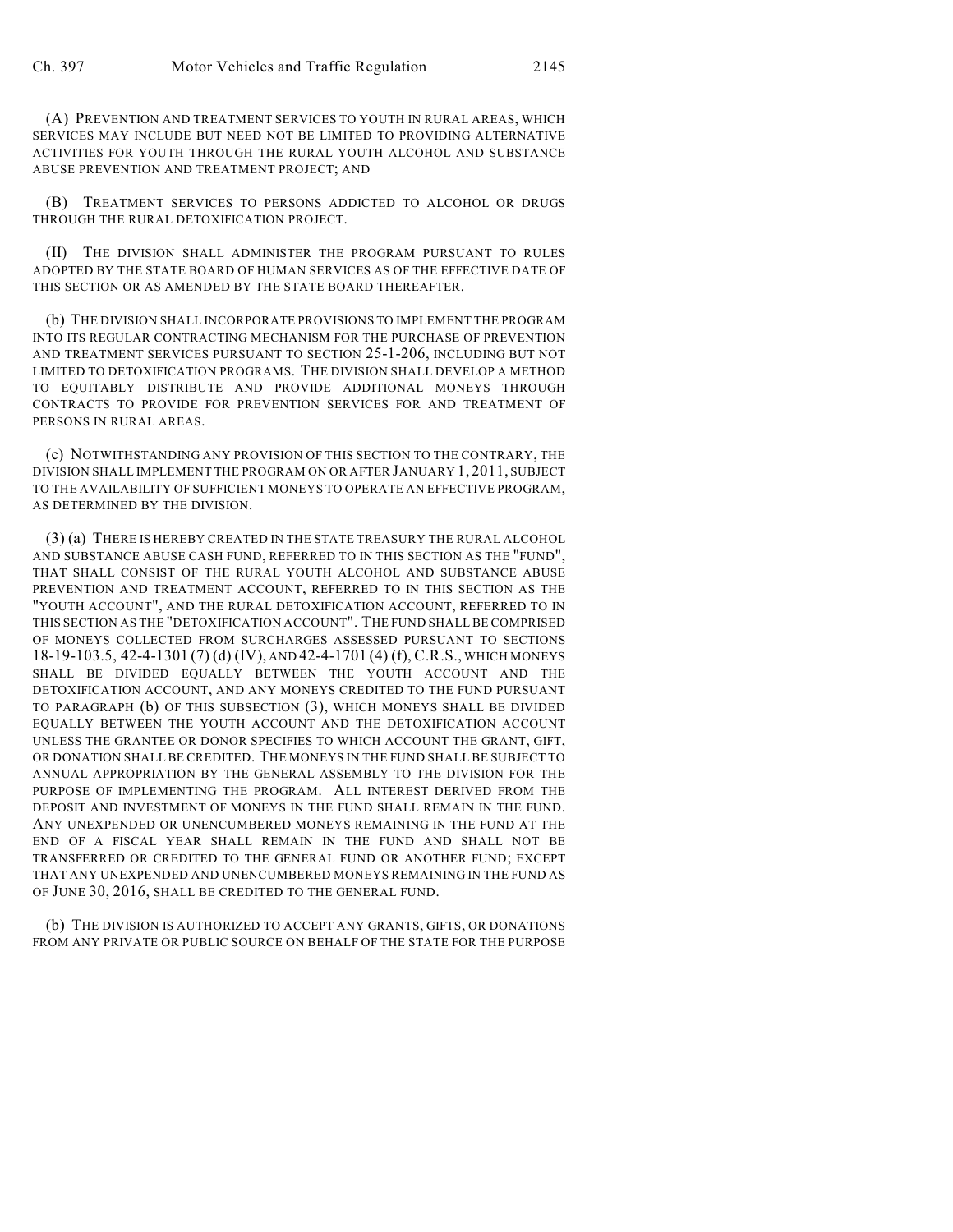(A) PREVENTION AND TREATMENT SERVICES TO YOUTH IN RURAL AREAS, WHICH SERVICES MAY INCLUDE BUT NEED NOT BE LIMITED TO PROVIDING ALTERNATIVE ACTIVITIES FOR YOUTH THROUGH THE RURAL YOUTH ALCOHOL AND SUBSTANCE ABUSE PREVENTION AND TREATMENT PROJECT; AND

(B) TREATMENT SERVICES TO PERSONS ADDICTED TO ALCOHOL OR DRUGS THROUGH THE RURAL DETOXIFICATION PROJECT.

(II) THE DIVISION SHALL ADMINISTER THE PROGRAM PURSUANT TO RULES ADOPTED BY THE STATE BOARD OF HUMAN SERVICES AS OF THE EFFECTIVE DATE OF THIS SECTION OR AS AMENDED BY THE STATE BOARD THEREAFTER.

(b) THE DIVISION SHALL INCORPORATE PROVISIONS TO IMPLEMENT THE PROGRAM INTO ITS REGULAR CONTRACTING MECHANISM FOR THE PURCHASE OF PREVENTION AND TREATMENT SERVICES PURSUANT TO SECTION 25-1-206, INCLUDING BUT NOT LIMITED TO DETOXIFICATION PROGRAMS. THE DIVISION SHALL DEVELOP A METHOD TO EQUITABLY DISTRIBUTE AND PROVIDE ADDITIONAL MONEYS THROUGH CONTRACTS TO PROVIDE FOR PREVENTION SERVICES FOR AND TREATMENT OF PERSONS IN RURAL AREAS.

(c) NOTWITHSTANDING ANY PROVISION OF THIS SECTION TO THE CONTRARY, THE DIVISION SHALL IMPLEMENT THE PROGRAM ON OR AFTER JANUARY 1, 2011, SUBJECT TO THE AVAILABILITY OF SUFFICIENT MONEYS TO OPERATE AN EFFECTIVE PROGRAM, AS DETERMINED BY THE DIVISION.

(3) (a) THERE IS HEREBY CREATED IN THE STATE TREASURY THE RURAL ALCOHOL AND SUBSTANCE ABUSE CASH FUND, REFERRED TO IN THIS SECTION AS THE "FUND", THAT SHALL CONSIST OF THE RURAL YOUTH ALCOHOL AND SUBSTANCE ABUSE PREVENTION AND TREATMENT ACCOUNT, REFERRED TO IN THIS SECTION AS THE "YOUTH ACCOUNT", AND THE RURAL DETOXIFICATION ACCOUNT, REFERRED TO IN THIS SECTION AS THE "DETOXIFICATION ACCOUNT". THE FUND SHALL BE COMPRISED OF MONEYS COLLECTED FROM SURCHARGES ASSESSED PURSUANT TO SECTIONS 18-19-103.5, 42-4-1301 (7) (d) (IV), AND 42-4-1701 (4) (f), C.R.S., WHICH MONEYS SHALL BE DIVIDED EQUALLY BETWEEN THE YOUTH ACCOUNT AND THE DETOXIFICATION ACCOUNT, AND ANY MONEYS CREDITED TO THE FUND PURSUANT TO PARAGRAPH (b) OF THIS SUBSECTION (3), WHICH MONEYS SHALL BE DIVIDED EQUALLY BETWEEN THE YOUTH ACCOUNT AND THE DETOXIFICATION ACCOUNT UNLESS THE GRANTEE OR DONOR SPECIFIES TO WHICH ACCOUNT THE GRANT, GIFT, OR DONATION SHALL BE CREDITED. THE MONEYS IN THE FUND SHALL BE SUBJECT TO ANNUAL APPROPRIATION BY THE GENERAL ASSEMBLY TO THE DIVISION FOR THE PURPOSE OF IMPLEMENTING THE PROGRAM. ALL INTEREST DERIVED FROM THE DEPOSIT AND INVESTMENT OF MONEYS IN THE FUND SHALL REMAIN IN THE FUND. ANY UNEXPENDED OR UNENCUMBERED MONEYS REMAINING IN THE FUND AT THE END OF A FISCAL YEAR SHALL REMAIN IN THE FUND AND SHALL NOT BE TRANSFERRED OR CREDITED TO THE GENERAL FUND OR ANOTHER FUND; EXCEPT THAT ANY UNEXPENDED AND UNENCUMBERED MONEYS REMAINING IN THE FUND AS OF JUNE 30, 2016, SHALL BE CREDITED TO THE GENERAL FUND.

(b) THE DIVISION IS AUTHORIZED TO ACCEPT ANY GRANTS, GIFTS, OR DONATIONS FROM ANY PRIVATE OR PUBLIC SOURCE ON BEHALF OF THE STATE FOR THE PURPOSE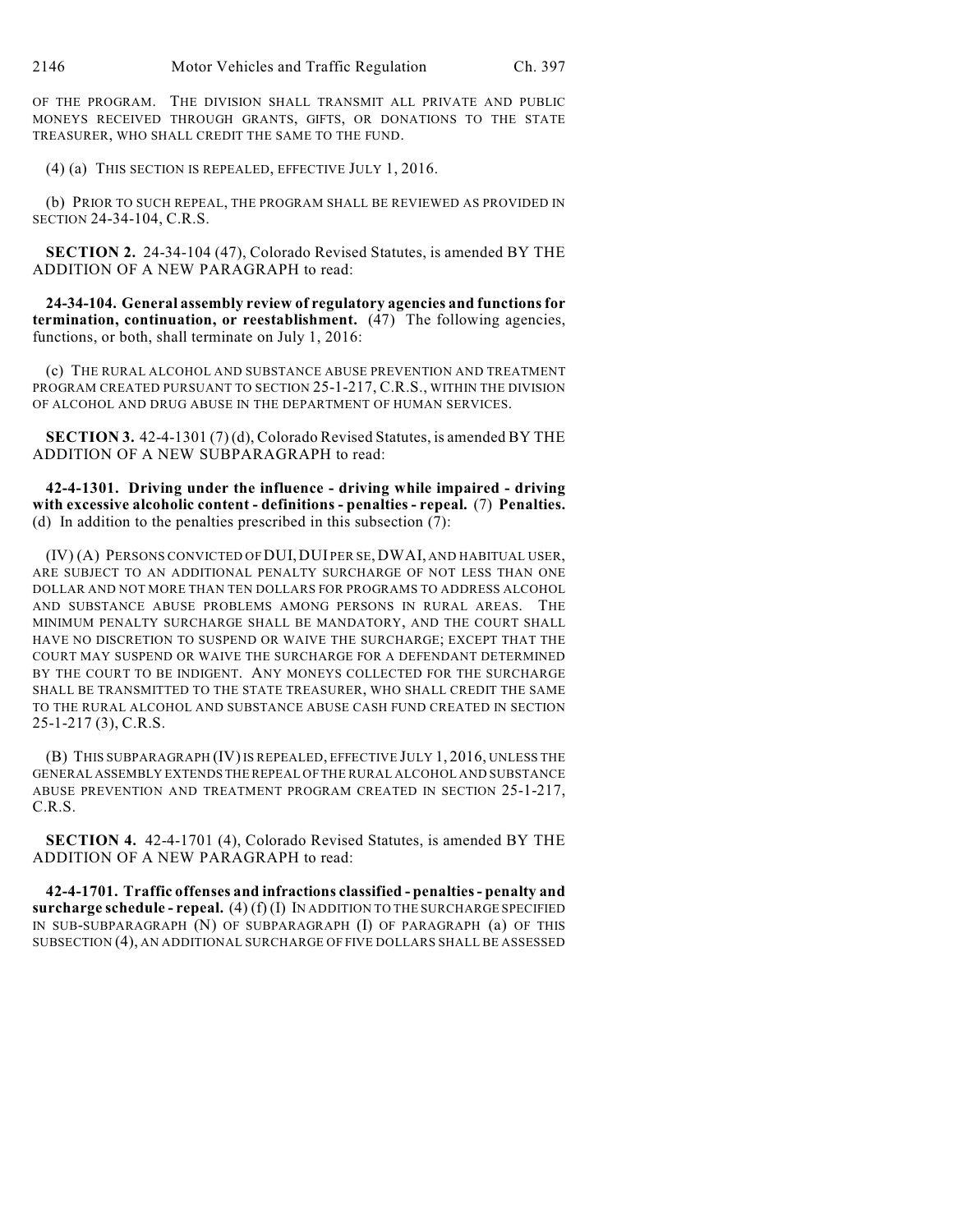OF THE PROGRAM. THE DIVISION SHALL TRANSMIT ALL PRIVATE AND PUBLIC MONEYS RECEIVED THROUGH GRANTS, GIFTS, OR DONATIONS TO THE STATE TREASURER, WHO SHALL CREDIT THE SAME TO THE FUND.

(4) (a) THIS SECTION IS REPEALED, EFFECTIVE JULY 1, 2016.

(b) PRIOR TO SUCH REPEAL, THE PROGRAM SHALL BE REVIEWED AS PROVIDED IN SECTION 24-34-104, C.R.S.

**SECTION 2.** 24-34-104 (47), Colorado Revised Statutes, is amended BY THE ADDITION OF A NEW PARAGRAPH to read:

**24-34-104. General assembly review of regulatory agencies and functions for termination, continuation, or reestablishment.** (47) The following agencies, functions, or both, shall terminate on July 1, 2016:

(c) THE RURAL ALCOHOL AND SUBSTANCE ABUSE PREVENTION AND TREATMENT PROGRAM CREATED PURSUANT TO SECTION 25-1-217, C.R.S., WITHIN THE DIVISION OF ALCOHOL AND DRUG ABUSE IN THE DEPARTMENT OF HUMAN SERVICES.

**SECTION 3.** 42-4-1301 (7) (d), Colorado Revised Statutes, is amended BY THE ADDITION OF A NEW SUBPARAGRAPH to read:

**42-4-1301. Driving under the influence - driving while impaired - driving with excessive alcoholic content - definitions - penalties - repeal.** (7) **Penalties.** (d) In addition to the penalties prescribed in this subsection (7):

(IV) (A) PERSONS CONVICTED OF DUI,DUI PER SE, DWAI, AND HABITUAL USER, ARE SUBJECT TO AN ADDITIONAL PENALTY SURCHARGE OF NOT LESS THAN ONE DOLLAR AND NOT MORE THAN TEN DOLLARS FOR PROGRAMS TO ADDRESS ALCOHOL AND SUBSTANCE ABUSE PROBLEMS AMONG PERSONS IN RURAL AREAS. THE MINIMUM PENALTY SURCHARGE SHALL BE MANDATORY, AND THE COURT SHALL HAVE NO DISCRETION TO SUSPEND OR WAIVE THE SURCHARGE; EXCEPT THAT THE COURT MAY SUSPEND OR WAIVE THE SURCHARGE FOR A DEFENDANT DETERMINED BY THE COURT TO BE INDIGENT. ANY MONEYS COLLECTED FOR THE SURCHARGE SHALL BE TRANSMITTED TO THE STATE TREASURER, WHO SHALL CREDIT THE SAME TO THE RURAL ALCOHOL AND SUBSTANCE ABUSE CASH FUND CREATED IN SECTION 25-1-217 (3), C.R.S.

(B) THIS SUBPARAGRAPH (IV) IS REPEALED, EFFECTIVE JULY 1, 2016, UNLESS THE GENERAL ASSEMBLY EXTENDS THE REPEAL OF THE RURAL ALCOHOL AND SUBSTANCE ABUSE PREVENTION AND TREATMENT PROGRAM CREATED IN SECTION 25-1-217, C.R.S.

**SECTION 4.** 42-4-1701 (4), Colorado Revised Statutes, is amended BY THE ADDITION OF A NEW PARAGRAPH to read:

**42-4-1701. Traffic offenses and infractions classified - penalties - penalty and surcharge schedule - repeal.** (4) (f) (I) IN ADDITION TO THE SURCHARGE SPECIFIED IN SUB-SUBPARAGRAPH (N) OF SUBPARAGRAPH (I) OF PARAGRAPH (a) OF THIS SUBSECTION (4), AN ADDITIONAL SURCHARGE OF FIVE DOLLARS SHALL BE ASSESSED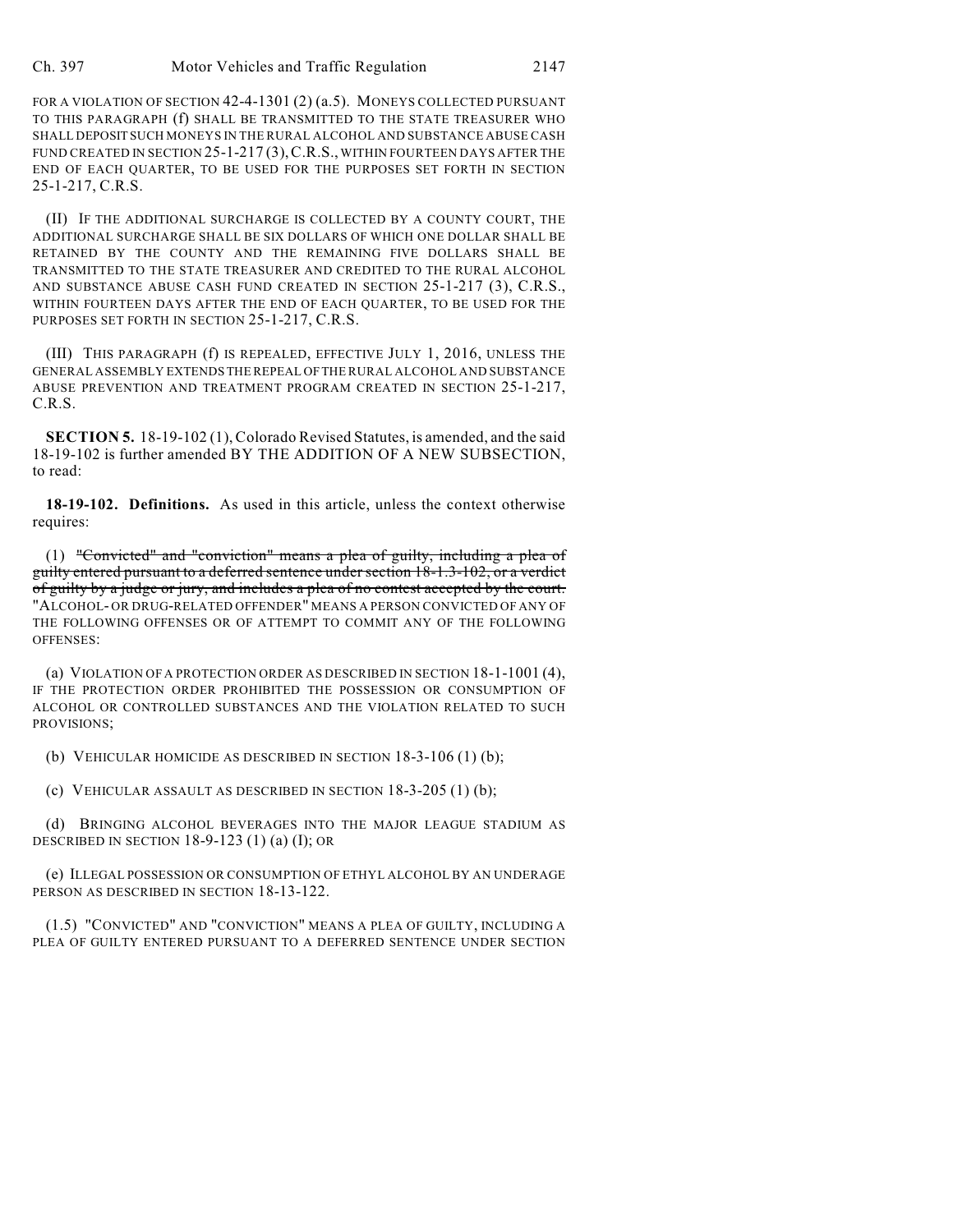FOR A VIOLATION OF SECTION 42-4-1301 (2) (a.5). MONEYS COLLECTED PURSUANT TO THIS PARAGRAPH (f) SHALL BE TRANSMITTED TO THE STATE TREASURER WHO SHALL DEPOSIT SUCH MONEYS IN THE RURAL ALCOHOL AND SUBSTANCE ABUSE CASH FUND CREATED IN SECTION 25-1-217 (3),C.R.S., WITHIN FOURTEEN DAYS AFTER THE END OF EACH QUARTER, TO BE USED FOR THE PURPOSES SET FORTH IN SECTION 25-1-217, C.R.S.

(II) IF THE ADDITIONAL SURCHARGE IS COLLECTED BY A COUNTY COURT, THE ADDITIONAL SURCHARGE SHALL BE SIX DOLLARS OF WHICH ONE DOLLAR SHALL BE RETAINED BY THE COUNTY AND THE REMAINING FIVE DOLLARS SHALL BE TRANSMITTED TO THE STATE TREASURER AND CREDITED TO THE RURAL ALCOHOL AND SUBSTANCE ABUSE CASH FUND CREATED IN SECTION 25-1-217 (3), C.R.S., WITHIN FOURTEEN DAYS AFTER THE END OF EACH QUARTER, TO BE USED FOR THE PURPOSES SET FORTH IN SECTION 25-1-217, C.R.S.

(III) THIS PARAGRAPH (f) IS REPEALED, EFFECTIVE JULY 1, 2016, UNLESS THE GENERAL ASSEMBLY EXTENDS THE REPEAL OF THE RURAL ALCOHOL AND SUBSTANCE ABUSE PREVENTION AND TREATMENT PROGRAM CREATED IN SECTION 25-1-217, C.R.S.

**SECTION 5.** 18-19-102 (1), Colorado Revised Statutes, is amended, and the said 18-19-102 is further amended BY THE ADDITION OF A NEW SUBSECTION, to read:

**18-19-102. Definitions.** As used in this article, unless the context otherwise requires:

(1) "Convicted" and "conviction" means a plea of guilty, including a plea of guilty entered pursuant to a deferred sentence undersection 18-1.3-102, or a verdict of guilty by a judge or jury, and includes a plea of no contest accepted by the court. "ALCOHOL- OR DRUG-RELATED OFFENDER" MEANS A PERSON CONVICTED OF ANY OF THE FOLLOWING OFFENSES OR OF ATTEMPT TO COMMIT ANY OF THE FOLLOWING OFFENSES:

(a) VIOLATION OF A PROTECTION ORDER AS DESCRIBED IN SECTION 18-1-1001 (4), IF THE PROTECTION ORDER PROHIBITED THE POSSESSION OR CONSUMPTION OF ALCOHOL OR CONTROLLED SUBSTANCES AND THE VIOLATION RELATED TO SUCH PROVISIONS;

(b) VEHICULAR HOMICIDE AS DESCRIBED IN SECTION 18-3-106 (1) (b);

(c) VEHICULAR ASSAULT AS DESCRIBED IN SECTION 18-3-205 (1) (b);

(d) BRINGING ALCOHOL BEVERAGES INTO THE MAJOR LEAGUE STADIUM AS DESCRIBED IN SECTION  $18-9-123$  (1) (a) (I); OR

(e) ILLEGAL POSSESSION OR CONSUMPTION OF ETHYL ALCOHOL BY AN UNDERAGE PERSON AS DESCRIBED IN SECTION 18-13-122.

(1.5) "CONVICTED" AND "CONVICTION" MEANS A PLEA OF GUILTY, INCLUDING A PLEA OF GUILTY ENTERED PURSUANT TO A DEFERRED SENTENCE UNDER SECTION